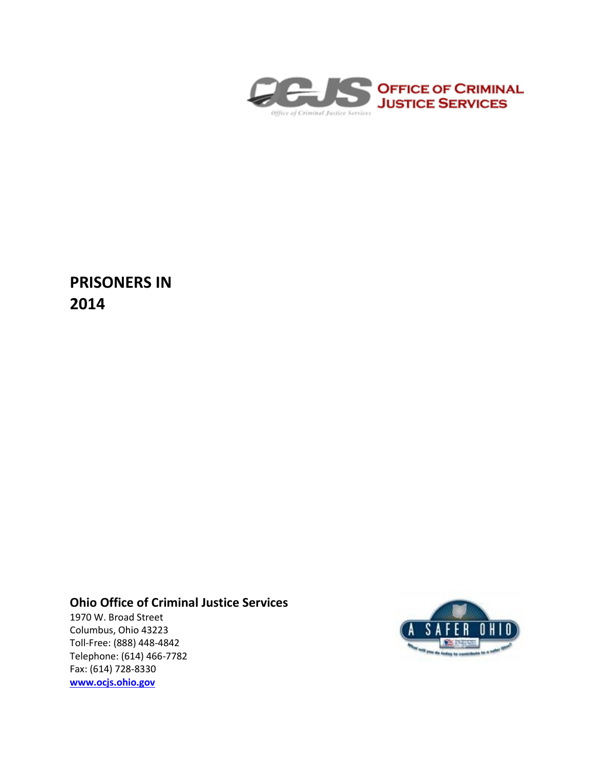

**PRISONERS IN 2014**

# **Ohio Office of Criminal Justice Services**

1970 W. Broad Street Columbus, Ohio 43223 Toll-Free: (888) 448-4842 Telephone: (614) 466-7782 Fax: (614) 728-8330 **[www.ocjs.ohio.gov](http://www.ocjs.ohio.gov/)**

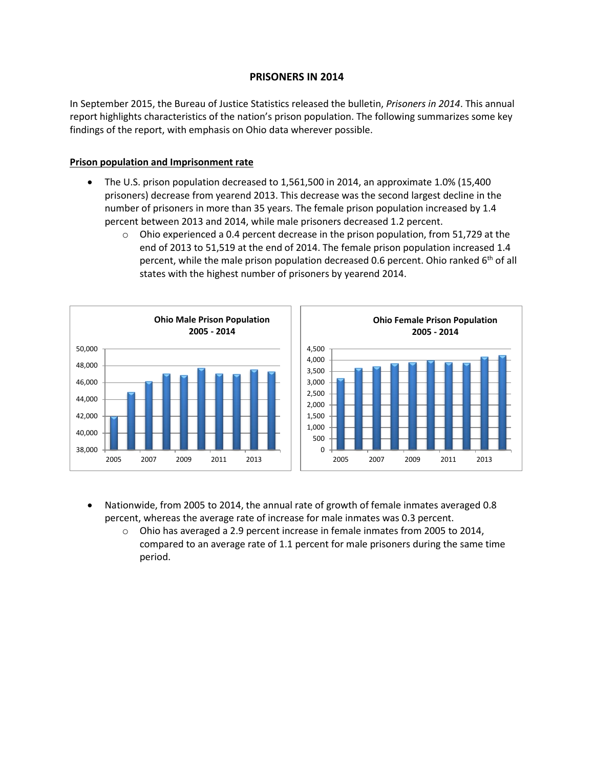## **PRISONERS IN 2014**

In September 2015, the Bureau of Justice Statistics released the bulletin, *Prisoners in 2014*. This annual report highlights characteristics of the nation's prison population. The following summarizes some key findings of the report, with emphasis on Ohio data wherever possible.

### **Prison population and Imprisonment rate**

- The U.S. prison population decreased to 1,561,500 in 2014, an approximate 1.0% (15,400 prisoners) decrease from yearend 2013. This decrease was the second largest decline in the number of prisoners in more than 35 years. The female prison population increased by 1.4 percent between 2013 and 2014, while male prisoners decreased 1.2 percent.
	- $\circ$  Ohio experienced a 0.4 percent decrease in the prison population, from 51,729 at the end of 2013 to 51,519 at the end of 2014. The female prison population increased 1.4 percent, while the male prison population decreased 0.6 percent. Ohio ranked 6<sup>th</sup> of all states with the highest number of prisoners by yearend 2014.



- Nationwide, from 2005 to 2014, the annual rate of growth of female inmates averaged 0.8 percent, whereas the average rate of increase for male inmates was 0.3 percent.
	- o Ohio has averaged a 2.9 percent increase in female inmates from 2005 to 2014, compared to an average rate of 1.1 percent for male prisoners during the same time period.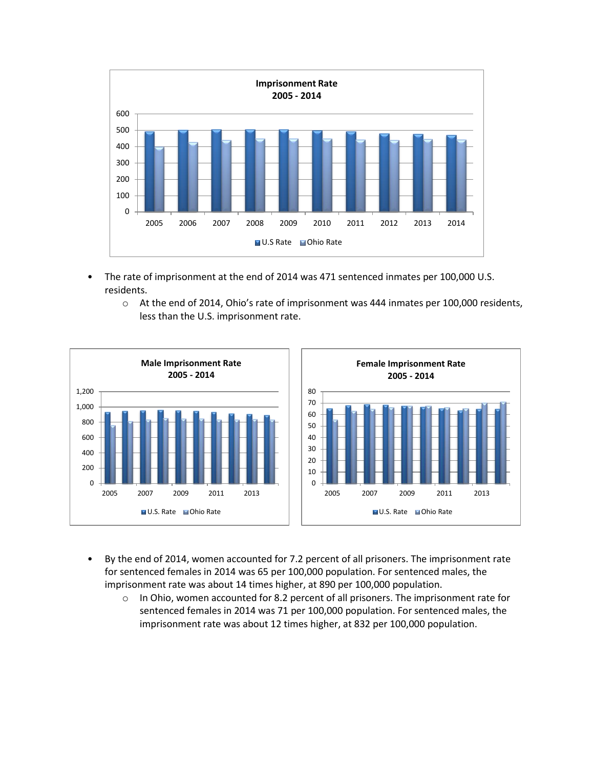

- The rate of imprisonment at the end of 2014 was 471 sentenced inmates per 100,000 U.S. residents.
	- o At the end of 2014, Ohio's rate of imprisonment was 444 inmates per 100,000 residents, less than the U.S. imprisonment rate.



- By the end of 2014, women accounted for 7.2 percent of all prisoners. The imprisonment rate for sentenced females in 2014 was 65 per 100,000 population. For sentenced males, the imprisonment rate was about 14 times higher, at 890 per 100,000 population.
	- $\circ$  In Ohio, women accounted for 8.2 percent of all prisoners. The imprisonment rate for sentenced females in 2014 was 71 per 100,000 population. For sentenced males, the imprisonment rate was about 12 times higher, at 832 per 100,000 population.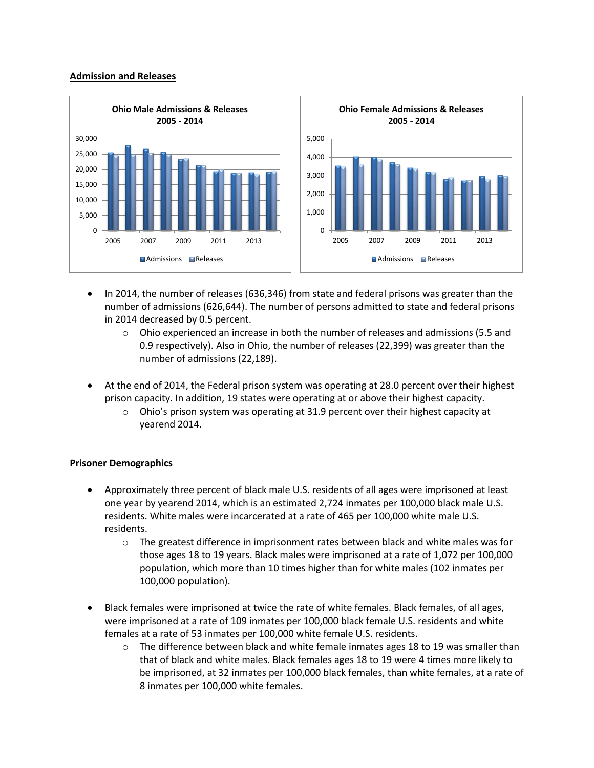#### **Admission and Releases**



- In 2014, the number of releases (636,346) from state and federal prisons was greater than the number of admissions (626,644). The number of persons admitted to state and federal prisons in 2014 decreased by 0.5 percent.
	- $\circ$  Ohio experienced an increase in both the number of releases and admissions (5.5 and 0.9 respectively). Also in Ohio, the number of releases (22,399) was greater than the number of admissions (22,189).
- At the end of 2014, the Federal prison system was operating at 28.0 percent over their highest prison capacity. In addition, 19 states were operating at or above their highest capacity.
	- $\circ$  Ohio's prison system was operating at 31.9 percent over their highest capacity at yearend 2014.

## **Prisoner Demographics**

- Approximately three percent of black male U.S. residents of all ages were imprisoned at least one year by yearend 2014, which is an estimated 2,724 inmates per 100,000 black male U.S. residents. White males were incarcerated at a rate of 465 per 100,000 white male U.S. residents.
	- $\circ$  The greatest difference in imprisonment rates between black and white males was for those ages 18 to 19 years. Black males were imprisoned at a rate of 1,072 per 100,000 population, which more than 10 times higher than for white males (102 inmates per 100,000 population).
- Black females were imprisoned at twice the rate of white females. Black females, of all ages, were imprisoned at a rate of 109 inmates per 100,000 black female U.S. residents and white females at a rate of 53 inmates per 100,000 white female U.S. residents.
	- $\circ$  The difference between black and white female inmates ages 18 to 19 was smaller than that of black and white males. Black females ages 18 to 19 were 4 times more likely to be imprisoned, at 32 inmates per 100,000 black females, than white females, at a rate of 8 inmates per 100,000 white females.